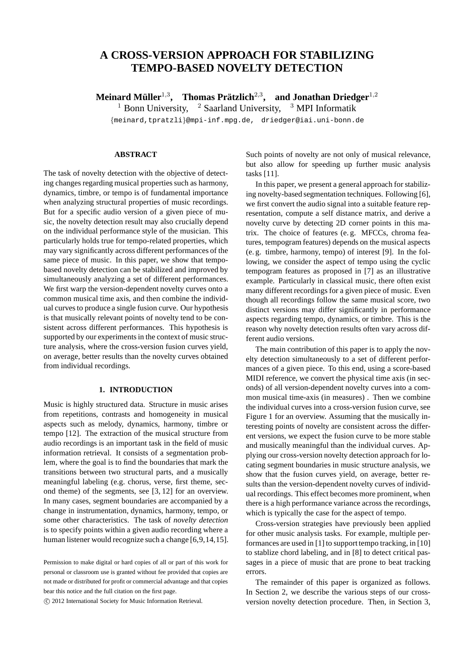# **A CROSS-VERSION APPROACH FOR STABILIZING TEMPO-BASED NOVELTY DETECTION**

 $\mathbf{M}$ einard Müller<sup>1,3</sup>, Thomas Prätzlich<sup>2,3</sup>, and Jonathan Driedger<sup>1,2</sup>

<sup>1</sup> Bonn University, <sup>2</sup> Saarland University, <sup>3</sup> MPI Informatik

{meinard,tpratzli}@mpi-inf.mpg.de, driedger@iai.uni-bonn.de

## **ABSTRACT**

The task of novelty detection with the objective of detecting changes regarding musical properties such as harmony, dynamics, timbre, or tempo is of fundamental importance when analyzing structural properties of music recordings. But for a specific audio version of a given piece of music, the novelty detection result may also crucially depend on the individual performance style of the musician. This particularly holds true for tempo-related properties, which may vary significantly across different performances of the same piece of music. In this paper, we show that tempobased novelty detection can be stabilized and improved by simultaneously analyzing a set of different performances. We first warp the version-dependent novelty curves onto a common musical time axis, and then combine the individual curves to produce a single fusion curve. Our hypothesis is that musically relevant points of novelty tend to be consistent across different performances. This hypothesis is supported by our experiments in the context of music structure analysis, where the cross-version fusion curves yield, on average, better results than the novelty curves obtained from individual recordings.

## **1. INTRODUCTION**

Music is highly structured data. Structure in music arises from repetitions, contrasts and homogeneity in musical aspects such as melody, dynamics, harmony, timbre or tempo [12]. The extraction of the musical structure from audio recordings is an important task in the field of music information retrieval. It consists of a segmentation problem, where the goal is to find the boundaries that mark the transitions between two structural parts, and a musically meaningful labeling (e.g. chorus, verse, first theme, second theme) of the segments, see [3, 12] for an overview. In many cases, segment boundaries are accompanied by a change in instrumentation, dynamics, harmony, tempo, or some other characteristics. The task of *novelty detection* is to specify points within a given audio recording where a human listener would recognize such a change [6,9,14,15].

c 2012 International Society for Music Information Retrieval.

Such points of novelty are not only of musical relevance, but also allow for speeding up further music analysis tasks [11].

In this paper, we present a general approach for stabilizing novelty-based segmentation techniques. Following [6], we first convert the audio signal into a suitable feature representation, compute a self distance matrix, and derive a novelty curve by detecting 2D corner points in this matrix. The choice of features (e. g. MFCCs, chroma features, tempogram features) depends on the musical aspects (e. g. timbre, harmony, tempo) of interest [9]. In the following, we consider the aspect of tempo using the cyclic tempogram features as proposed in [7] as an illustrative example. Particularly in classical music, there often exist many different recordings for a given piece of music. Even though all recordings follow the same musical score, two distinct versions may differ significantly in performance aspects regarding tempo, dynamics, or timbre. This is the reason why novelty detection results often vary across different audio versions.

The main contribution of this paper is to apply the novelty detection simultaneously to a set of different performances of a given piece. To this end, using a score-based MIDI reference, we convert the physical time axis (in seconds) of all version-dependent novelty curves into a common musical time-axis (in measures) . Then we combine the individual curves into a cross-version fusion curve, see Figure 1 for an overview. Assuming that the musically interesting points of novelty are consistent across the different versions, we expect the fusion curve to be more stable and musically meaningful than the individual curves. Applying our cross-version novelty detection approach for locating segment boundaries in music structure analysis, we show that the fusion curves yield, on average, better results than the version-dependent novelty curves of individual recordings. This effect becomes more prominent, when there is a high performance variance across the recordings, which is typically the case for the aspect of tempo.

Cross-version strategies have previously been applied for other music analysis tasks. For example, multiple performances are used in [1] to support tempo tracking, in [10] to stablize chord labeling, and in [8] to detect critical passages in a piece of music that are prone to beat tracking errors.

The remainder of this paper is organized as follows. In Section 2, we describe the various steps of our crossversion novelty detection procedure. Then, in Section 3,

Permission to make digital or hard copies of all or part of this work for personal or classroom use is granted without fee provided that copies are not made or distributed for profit or commercial advantage and that copies bear this notice and the full citation on the first page.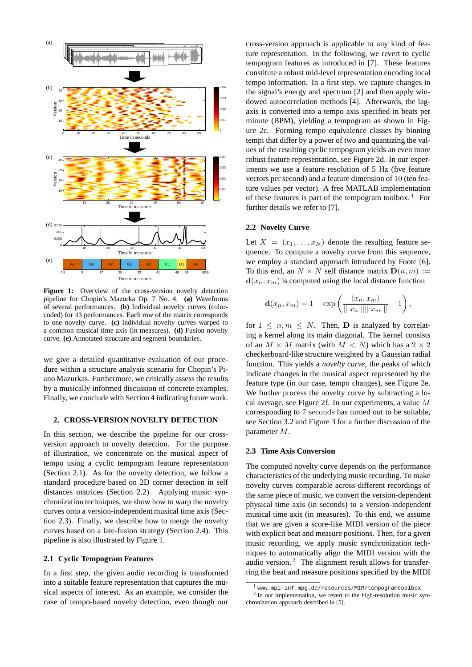

Figure 1: Overview of the cross-version novelty detection pipeline for Chopin's Mazurka Op. 7 No. 4. **(a)** Waveforms of several performances. **(b)** Individual novelty curves (colorcoded) for 43 performances. Each row of the matrix corresponds to one novelty curve. **(c)** Individual novelty curves warped to a common musical time axis (in measures). **(d)** Fusion novelty curve. **(e)** Annotated structure and segment boundaries.

we give a detailed quantitative evaluation of our procedure within a structure analysis scenario for Chopin's Piano Mazurkas. Furthermore, we critically assess the results by a musically informed discussion of concrete examples. Finally, we conclude with Section 4 indicating future work.

## **2. CROSS-VERSION NOVELTY DETECTION**

In this section, we describe the pipeline for our crossversion approach to novelty detection. For the purpose of illustration, we concentrate on the musical aspect of tempo using a cyclic tempogram feature representation (Section 2.1). As for the novelty detection, we follow a standard procedure based on 2D corner detection in self distances matrices (Section 2.2). Applying music synchronization techniques, we show how to warp the novelty curves onto a version-independent musical time axis (Section 2.3). Finally, we describe how to merge the novelty curves based on a late-fusion strategy (Section 2.4). This pipeline is also illustrated by Figure 1.

### **2.1 Cyclic Tempogram Features**

In a first step, the given audio recording is transformed into a suitable feature representation that captures the musical aspects of interest. As an example, we consider the case of tempo-based novelty detection, even though our cross-version approach is applicable to any kind of feature representation. In the following, we revert to cyclic tempogram features as introduced in [7]. These features constitute a robust mid-level representation encoding local tempo information. In a first step, we capture changes in the signal's energy and spectrum [2] and then apply windowed autocorrelation methods [4]. Afterwards, the lagaxis is converted into a tempo axis specified in beats per minute (BPM), yielding a tempogram as shown in Figure 2c. Forming tempo equivalence classes by binning tempi that differ by a power of two and quantizing the values of the resulting cyclic tempogram yields an even more robust feature representation, see Figure 2d. In our experiments we use a feature resolution of 5 Hz (five feature vectors per second) and a feature dimension of 10 (ten feature values per vector). A free MATLAB implementation of these features is part of the tempogram toolbox.<sup>1</sup> For further details we refer to [7].

### **2.2 Novelty Curve**

Let  $X = (x_1, \ldots, x_N)$  denote the resulting feature sequence. To compute a novelty curve from this sequence, we employ a standard approach introduced by Foote [6]. To this end, an  $N \times N$  self distance matrix  $\mathbf{D}(n, m) :=$  $\mathbf{d}(x_n, x_m)$  is computed using the local distance function

$$
\mathbf{d}(x_n, x_m) = 1 - \exp\left(\frac{\langle x_n, x_m\rangle}{\|x_n\| \|x_m\|} - 1\right),\,
$$

for  $1 \leq n, m \leq N$ . Then, **D** is analyzed by correlating a kernel along its main diagonal. The kernel consists of an  $M \times M$  matrix (with  $M < N$ ) which has a  $2 \times 2$ checkerboard-like structure weighted by a Gaussian radial function. This yields a *novelty curve*, the peaks of which indicate changes in the musical aspect represented by the feature type (in our case, tempo changes), see Figure 2e. We further process the novelty curve by subtracting a local average, see Figure 2f. In our experiments, a value M corresponding to 7 seconds has turned out to be suitable, see Section 3.2 and Figure 3 for a further discussion of the parameter M.

## **2.3 Time Axis Conversion**

The computed novelty curve depends on the performance characteristics of the underlying music recording. To make novelty curves comparable across different recordings of the same piece of music, we convert the version-dependent physical time axis (in seconds) to a version-independent musical time axis (in measures). To this end, we assume that we are given a score-like MIDI version of the piece with explicit beat and measure positions. Then, for a given music recording, we apply music synchronization techniques to automatically align the MIDI version with the audio version.<sup>2</sup> The alignment result allows for transferring the beat and measure positions specified by the MIDI

<sup>1</sup> www.mpi-inf.mpg.de/resources/MIR/tempogramtoolbox

<sup>&</sup>lt;sup>2</sup> In our implementation, we revert to the high-resolution music synchronization approach described in [5].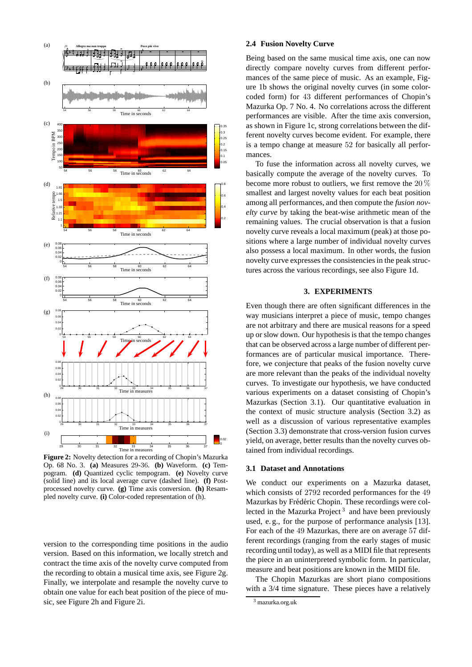

**Figure 2:** Novelty detection for a recording of Chopin's Mazurka Op. 68 No. 3. **(a)** Measures 29-36. **(b)** Waveform. **(c)** Tempogram. **(d)** Quantized cyclic tempogram. **(e)** Novelty curve (solid line) and its local average curve (dashed line). **(f)** Postprocessed novelty curve. **(g)** Time axis conversion. **(h)** Resampled novelty curve. **(i)** Color-coded representation of (h).

version to the corresponding time positions in the audio version. Based on this information, we locally stretch and contract the time axis of the novelty curve computed from the recording to obtain a musical time axis, see Figure 2g. Finally, we interpolate and resample the novelty curve to obtain one value for each beat position of the piece of music, see Figure 2h and Figure 2i.

## **2.4 Fusion Novelty Curve**

Being based on the same musical time axis, one can now directly compare novelty curves from different performances of the same piece of music. As an example, Figure 1b shows the original novelty curves (in some colorcoded form) for 43 different performances of Chopin's Mazurka Op. 7 No. 4. No correlations across the different performances are visible. After the time axis conversion, as shown in Figure 1c, strong correlations between the different novelty curves become evident. For example, there is a tempo change at measure 52 for basically all performances.

To fuse the information across all novelty curves, we basically compute the average of the novelty curves. To become more robust to outliers, we first remove the 20 % smallest and largest novelty values for each beat position among all performances, and then compute the *fusion novelty curve* by taking the beat-wise arithmetic mean of the remaining values. The crucial observation is that a fusion novelty curve reveals a local maximum (peak) at those positions where a large number of individual novelty curves also possess a local maximum. In other words, the fusion novelty curve expresses the consistencies in the peak structures across the various recordings, see also Figure 1d.

## **3. EXPERIMENTS**

Even though there are often significant differences in the way musicians interpret a piece of music, tempo changes are not arbitrary and there are musical reasons for a speed up or slow down. Our hypothesis is that the tempo changes that can be observed across a large number of different performances are of particular musical importance. Therefore, we conjecture that peaks of the fusion novelty curve are more relevant than the peaks of the individual novelty curves. To investigate our hypothesis, we have conducted various experiments on a dataset consisting of Chopin's Mazurkas (Section 3.1). Our quantitative evaluation in the context of music structure analysis (Section 3.2) as well as a discussion of various representative examples (Section 3.3) demonstrate that cross-version fusion curves yield, on average, better results than the novelty curves obtained from individual recordings.

#### **3.1 Dataset and Annotations**

We conduct our experiments on a Mazurka dataset, which consists of 2792 recorded performances for the 49 Mazurkas by Frédéric Chopin. These recordings were collected in the Mazurka Project<sup>3</sup> and have been previously used, e. g., for the purpose of performance analysis [13]. For each of the 49 Mazurkas, there are on average 57 different recordings (ranging from the early stages of music recording until today), as well as a MIDI file that represents the piece in an uninterpreted symbolic form. In particular, measure and beat positions are known in the MIDI file.

The Chopin Mazurkas are short piano compositions with a 3/4 time signature. These pieces have a relatively

<sup>3</sup> mazurka.org.uk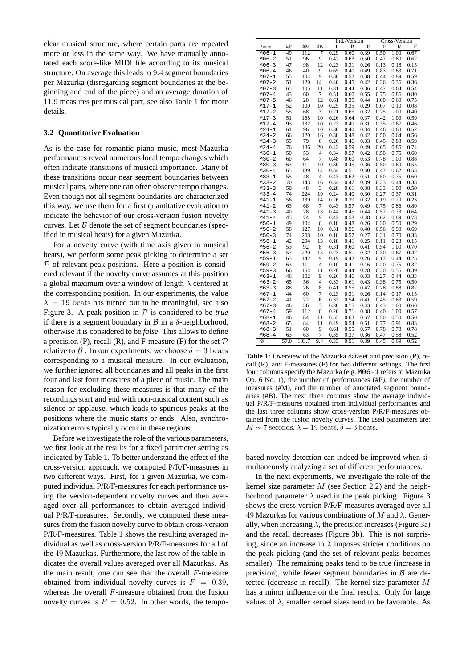clear musical structure, where certain parts are repeated more or less in the same way. We have manually annotated each score-like MIDI file according to its musical structure. On average this leads to 9.4 segment boundaries per Mazurka (disregarding segment boundaries at the beginning and end of the piece) and an average duration of 11.9 measures per musical part, see also Table 1 for more details.

### **3.2 Quantitative Evaluation**

As is the case for romantic piano music, most Mazurka performances reveal numerous local tempo changes which often indicate transitions of musical importance. Many of these transitions occur near segment boundaries between musical parts, where one can often observe tempo changes. Even though not all segment boundaries are characterized this way, we use them for a first quantitative evaluation to indicate the behavior of our cross-version fusion novelty curves. Let  $B$  denote the set of segment boundaries (specified in musical beats) for a given Mazurka.

For a novelty curve (with time axis given in musical beats), we perform some peak picking to determine a set  $P$  of relevant peak positions. Here a position is considered relevant if the novelty curve assumes at this position a global maximum over a window of length  $\lambda$  centered at the corresponding position. In our experiments, the value  $\lambda = 19$  beats has turned out to be meaningful, see also Figure 3. A peak position in P is considered to be *true* if there is a segment boundary in  $\beta$  in a  $\delta$ -neighborhood, otherwise it is considered to be *false*. This allows to define a precision (P), recall (R), and F-measure (F) for the set  $P$ relative to  $\beta$ . In our experiments, we choose  $\delta = 3$  beats corresponding to a musical measure. In our evaluation, we further ignored all boundaries and all peaks in the first four and last four measures of a piece of music. The main reason for excluding these measures is that many of the recordings start and end with non-musical content such as silence or applause, which leads to spurious peaks at the positions where the music starts or ends. Also, synchronization errors typically occur in these regions.

Before we investigate the role of the various parameters, we first look at the results for a fixed parameter setting as indicated by Table 1. To better understand the effect of the cross-version approach, we computed P/R/F-measures in two different ways. First, for a given Mazurka, we computed individual P/R/F-measures for each performance using the version-dependent novelty curves and then averaged over all performances to obtain averaged individual P/R/F-measures. Secondly, we computed these measures from the fusion novelty curve to obtain cross-version P/R/F-measures. Table 1 shows the resulting averaged individual as well as cross-version P/R/F-measures for all of the 49 Mazurkas. Furthermore, the last row of the table indicates the overall values averaged over all Mazurkas. As the main result, one can see that the overall  $F$ -measure obtained from individual novelty curves is  $F = 0.39$ , whereas the overall F-measure obtained from the fusion novelty curves is  $F = 0.52$ . In other words, the tempo-

|           |      |       |                |             | Ind.-Version |             | <b>Cross-Version</b> |      |      |
|-----------|------|-------|----------------|-------------|--------------|-------------|----------------------|------|------|
| Piece     | #P   | #M    | #B             | F<br>P<br>R |              | F<br>P<br>R |                      |      |      |
| M06-1     | 49   | 112   | 7              | 0.29        | 0.60         | 0.39        | 0.50                 | 1.00 | 0.67 |
| $M06 - 2$ | 51   | 96    | 9              | 0.42        | 0.63         | 0.50        | 0.47                 | 0.89 | 0.62 |
| $M06 - 3$ | 47   | 98    | 12             | 0.23        | 0.31         | 0.26        | 0.13                 | 0.18 | 0.15 |
| $M06 - 4$ | 46   | 40    | 9              | 0.65        | 0.40         | 0.49        | 0.83                 | 0.63 | 0.71 |
| $M07 - 1$ | 55   | 104   | 9              | 0.30        | 0.52         | 0.38        | 0.44                 | 0.89 | 0.59 |
| $M07 - 2$ | 51   | 120   | 14             | 0.40        | 0.45         | 0.42        | 0.36                 | 0.36 | 0.36 |
| $M07 - 3$ | 65   | 105   | 11             | 0.31        | 0.44         | 0.36        | 0.47                 | 0.64 | 0.54 |
| $M07 - 4$ | 43   | 60    | 7              | 0.51        | 0.60         | 0.55        | 0.75                 | 0.86 | 0.80 |
| $M07 - 5$ | 46   | 20    | 12             | 0.61        | 0.35         | 0.44        | 1.00                 | 0.60 | 0.75 |
| $M17 - 1$ | 52   | 100   | 10             | 0.25        | 0.35         | 0.29        | 0.07                 | 0.10 | 0.08 |
| $M17 - 2$ | 55   | 68    | 3              | 0.21        | 0.65         | 0.32        | 0.25                 | 1.00 | 0.40 |
| $M17 - 3$ | 51   | 168   | 10             | 0.26        | 0.64         | 0.37        | 0.42                 | 1.00 | 0.59 |
| $M17 - 4$ | 93   | 132   | 10             | 0.23        | 0.49         | 0.31        | 0.35                 | 0.67 | 0.46 |
| $M24 - 1$ | 61   | 96    | 10             | 0.30        | 0.40         | 0.34        | 0.46                 | 0.60 | 0.52 |
| $M24 - 2$ | 66   | 120   | 16             | 0.38        | 0.48         | 0.42        | 0.50                 | 0.64 | 0.56 |
| $M24 - 3$ | 55   | 79    | 6              | 0.26        | 0.46         | 0.33        | 0.45                 | 0.83 | 0.59 |
| $M24 - 4$ | 76   | 186   | 20             | 0.42        | 0.59         | 0.49        | 0.65                 | 0.85 | 0.74 |
| $M30 - 1$ | 50   | 53    | 4              | 0.34        | 0.57         | 0.42        | 0.50                 | 0.75 | 0.60 |
| $M30 - 2$ | 60   | 64    | 7              | 0.48        | 0.60         | 0.53        | 0.78                 | 1.00 | 0.88 |
| $M30 - 3$ | 63   | 111   | 10             | 0.30        | 0.45         | 0.36        | 0.50                 | 0.60 | 0.55 |
| $M30 - 4$ | 65   | 139   | 14             | 0.34        | 0.51         | 0.40        | 0.47                 | 0.62 | 0.53 |
| $M33 - 1$ | 55   | 48    | $\overline{4}$ | 0.43        | 0.62         | 0.51        | 0.50                 | 0.75 | 0.60 |
| $M33 - 2$ | 70   | 143   | 16             | 0.34        | 0.47         | 0.39        | 0.33                 | 0.44 | 0.38 |
| $M33 - 3$ | 50   | 48    | 3              | 0.28        | 0.61         | 0.38        | 0.33                 | 1.00 | 0.50 |
| $M33 - 4$ | 74   | 224   | 19             | 0.24        | 0.40         | 0.30        | 0.27                 | 0.37 | 0.31 |
| $M41 - 1$ | 56   | 139   | 14             | 0.26        | 0.39         | 0.32        | 0.19                 | 0.29 | 0.23 |
| $M41 - 2$ | 63   | 68    | 7              | 0.43        | 0.57         | 0.49        | 0.75                 | 0.86 | 0.80 |
| $M41 - 3$ | 40   | 78    | 13             | 0.44        | 0.45         | 0.44        | 0.57                 | 0.73 | 0.64 |
| $M41 - 4$ | 45   | 74    | 9              | 0.42        | 0.58         | 0.48        | 0.62                 | 0.89 | 0.73 |
| $M50 - 1$ | 49   | 104   | 6              | 0.18        | 0.48         | 0.26        | 0.20                 | 0.50 | 0.29 |
| $M50 - 2$ | 58   | 127   | 10             | 0.31        | 0.56         | 0.40        | 0.56                 | 0.90 | 0.69 |
| $M50 - 3$ | 74   | 208   | 10             | 0.18        | 0.57         | 0.27        | 0.21                 | 0.70 | 0.33 |
| $M56 - 1$ | 42   | 204   | 13             | 0.18        | 0.41         | 0.25        | 0.11                 | 0.23 | 0.15 |
| $M56 - 2$ | 53   | 92    | 8              | 0.31        | 0.60         | 0.41        | 0.54                 | 1.00 | 0.70 |
| $M56 - 3$ | 57   | 220   | 15             | 0.23        | 0.51         | 0.32        | 0.30                 | 0.67 | 0.42 |
| $M59 - 1$ | 63   | 142   | 9              | 0.19        | 0.42         | 0.26        | 0.17                 | 0.44 | 0.25 |
| $M59 - 2$ | 63   | 111   | $\overline{4}$ | 0.10        | 0.41         | 0.16        | 0.20                 | 0.75 | 0.32 |
| $M59 - 3$ | 66   | 154   | 11             | 0.20        | 0.44         | 0.28        | 0.30                 | 0.55 | 0.39 |
| $M63 - 1$ | 46   | 102   | 9              | 0.26        | 0.46         | 0.33        | 0.27                 | 0.44 | 0.33 |
| $M63 - 2$ | 65   | 56    | 4              | 0.33        | 0.61         | 0.43        | 0.38                 | 0.75 | 0.50 |
| $M63 - 3$ | 88   | 76    | 8              | 0.41        | 0.55         | 0.47        | 0.78                 | 0.88 | 0.82 |
| $M67 - 1$ | 44   | 60    | 7              | 0.23        | 0.31         | 0.26        | 0.14                 | 0.17 | 0.15 |
| $M67 - 2$ | 41   | 72    | 6              | 0.33        | 0.54         | 0.41        | 0.45                 | 0.83 | 0.59 |
| $M67 - 3$ | 46   | 56    | 3              | 0.30        | 0.75         | 0.43        | 0.43                 | 1.00 | 0.60 |
| $M67 - 4$ | 59   | 112   | 6              | 0.26        | 0.71         | 0.38        | 0.40                 | 1.00 | 0.57 |
| $M68 - 1$ | 46   | 84    | 11             | 0.53        | 0.63         | 0.57        | 0.50                 | 0.50 | 0.50 |
| $M68 - 2$ | 65   | 84    | 11             | 0.49        | 0.54         | 0.51        | 0.77                 | 0.91 | 0.83 |
| $M68 - 3$ | 51   | 60    | 9              | 0.61        | 0.55         | 0.57        | 0.78                 | 0.78 | 0.78 |
| $M68 - 4$ | 63   | 63    | $\overline{7}$ | 0.35        | 0.37         | 0.36        | 0.47                 | 0.58 | 0.52 |
| Ø         | 57.0 | 103.7 | 9.4            | 0.33        | 0.51         | 0.39        | 0.45                 | 0.69 | 0.52 |

**Table 1:** Overview of the Mazurka dataset and precision (P), recall (R), and F-measures (F) for two different settings. The first four columns specify the Mazurka (e.g. M06-1 refers to Mazurka Op. 6 No. 1), the number of performances (#P), the number of measures (#M), and the number of annotated segment boundaries (#B). The next three columns show the average individual P/R/F-measures obtained from individual performances and the last three columns show cross-version P/R/F-measures obtained from the fusion novelty curves. The used parameters are:  $M \sim 7$  seconds,  $\lambda = 19$  beats,  $\delta = 3$  beats.

based novelty detection can indeed be improved when simultaneously analyzing a set of different performances.

In the next experiments, we investigate the role of the kernel size parameter  $M$  (see Section 2.2) and the neighborhood parameter  $\lambda$  used in the peak picking. Figure 3 shows the cross-version P/R/F-measures averaged over all 49 Mazurkas for various combinations of M and  $\lambda$ . Generally, when increasing  $\lambda$ , the precision increases (Figure 3a) and the recall decreases (Figure 3b). This is not surprising, since an increase in  $\lambda$  imposes stricter conditions on the peak picking (and the set of relevant peaks becomes smaller). The remaining peaks tend to be true (increase in precision), while fewer segment boundaries in  $\beta$  are detected (decrease in recall). The kernel size parameter M has a minor influence on the final results. Only for large values of  $\lambda$ , smaller kernel sizes tend to be favorable. As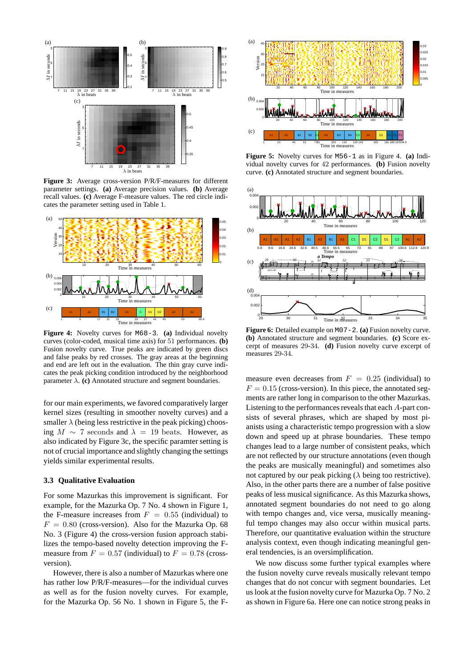

**Figure 3:** Average cross-version P/R/F-measures for different parameter settings. **(a)** Average precision values. **(b)** Average recall values. **(c)** Average F-measure values. The red circle indicates the parameter setting used in Table 1.



**Figure 4:** Novelty curves for M68-3. **(a)** Individual novelty curves (color-coded, musical time axis) for 51 performances. **(b)** Fusion novelty curve. True peaks are indicated by green discs and false peaks by red crosses. The gray areas at the beginning and end are left out in the evaluation. The thin gray curve indicates the peak picking condition introduced by the neighborhood parameter  $\lambda$ . **(c)** Annotated structure and segment boundaries.

for our main experiments, we favored comparatively larger kernel sizes (resulting in smoother novelty curves) and a smaller  $\lambda$  (being less restrictive in the peak picking) choosing  $M \sim 7$  seconds and  $\lambda = 19$  beats. However, as also indicated by Figure 3c, the specific paramter setting is not of crucial importance and slightly changing the settings yields similar experimental results.

## **3.3 Qualitative Evaluation**

For some Mazurkas this improvement is significant. For example, for the Mazurka Op. 7 No. 4 shown in Figure 1, the F-measure increases from  $F = 0.55$  (individual) to  $F = 0.80$  (cross-version). Also for the Mazurka Op. 68 No. 3 (Figure 4) the cross-version fusion approach stabilizes the tempo-based novelty detection improving the Fmeasure from  $F = 0.57$  (individual) to  $F = 0.78$  (crossversion).

However, there is also a number of Mazurkas where one has rather low P/R/F-measures—for the individual curves as well as for the fusion novelty curves. For example, for the Mazurka Op. 56 No. 1 shown in Figure 5, the F-



**Figure 5:** Novelty curves for M56-1 as in Figure 4. **(a)** Individual novelty curves for 42 performances. **(b)** Fusion novelty curve. **(c)** Annotated structure and segment boundaries.



**Figure 6:** Detailed example on M07-2. **(a)** Fusion novelty curve. **(b)** Annotated structure and segment boundaries. **(c)** Score excerpt of measures 29-34. **(d)** Fusion novelty curve excerpt of measures 29-34.

measure even decreases from  $F = 0.25$  (individual) to  $F = 0.15$  (cross-version). In this piece, the annotated segments are rather long in comparison to the other Mazurkas. Listening to the performances reveals that each A-part consists of several phrases, which are shaped by most pianists using a characteristic tempo progression with a slow down and speed up at phrase boundaries. These tempo changes lead to a large number of consistent peaks, which are not reflected by our structure annotations (even though the peaks are musically meaningful) and sometimes also not captured by our peak picking ( $\lambda$  being too restrictive). Also, in the other parts there are a number of false positive peaks of less musical significance. As this Mazurka shows, annotated segment boundaries do not need to go along with tempo changes and, vice versa, musically meaningful tempo changes may also occur within musical parts. Therefore, our quantitative evaluation within the structure analysis context, even though indicating meaningful general tendencies, is an oversimplification.

We now discuss some further typical examples where the fusion novelty curve reveals musically relevant tempo changes that do not concur with segment boundaries. Let us look at the fusion novelty curve for Mazurka Op. 7 No. 2 as shown in Figure 6a. Here one can notice strong peaks in